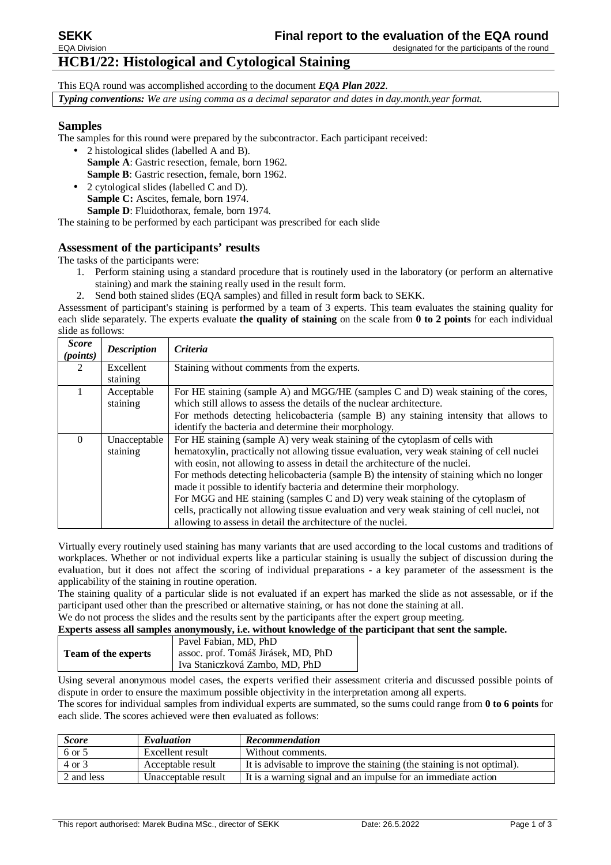# **HCB1/22: Histological and Cytological Staining**

This EQA round was accomplished according to the document *EQA Plan 2022*. *Typing conventions: We are using comma as a decimal separator and dates in day.month.year format.* 

## **Samples**

The samples for this round were prepared by the subcontractor. Each participant received:

- 2 histological slides (labelled A and B). **Sample A**: Gastric resection, female, born 1962. **Sample B**: Gastric resection, female, born 1962.
- 2 cytological slides (labelled C and D). **Sample C:** Ascites, female, born 1974. **Sample D**: Fluidothorax, female, born 1974.

The staining to be performed by each participant was prescribed for each slide

## **Assessment of the participants' results**

The tasks of the participants were:

- 1. Perform staining using a standard procedure that is routinely used in the laboratory (or perform an alternative staining) and mark the staining really used in the result form.
- 2. Send both stained slides (EQA samples) and filled in result form back to SEKK.

Assessment of participant's staining is performed by a team of 3 experts. This team evaluates the staining quality for each slide separately. The experts evaluate **the quality of staining** on the scale from **0 to 2 points** for each individual slide as follows:

| <b>Score</b><br>(points) | <b>Description</b> | Criteria                                                                                     |
|--------------------------|--------------------|----------------------------------------------------------------------------------------------|
| 2                        | Excellent          | Staining without comments from the experts.                                                  |
|                          | staining           |                                                                                              |
|                          | Acceptable         | For HE staining (sample A) and MGG/HE (samples C and D) weak staining of the cores,          |
|                          | staining           | which still allows to assess the details of the nuclear architecture.                        |
|                          |                    | For methods detecting helicobacteria (sample B) any staining intensity that allows to        |
|                          |                    | identify the bacteria and determine their morphology.                                        |
| $\Omega$                 | Unacceptable       | For HE staining (sample A) very weak staining of the cytoplasm of cells with                 |
|                          | staining           | hematoxylin, practically not allowing tissue evaluation, very weak staining of cell nuclei   |
|                          |                    | with eosin, not allowing to assess in detail the architecture of the nuclei.                 |
|                          |                    | For methods detecting helicobacteria (sample B) the intensity of staining which no longer    |
|                          |                    | made it possible to identify bacteria and determine their morphology.                        |
|                          |                    | For MGG and HE staining (samples C and D) very weak staining of the cytoplasm of             |
|                          |                    | cells, practically not allowing tissue evaluation and very weak staining of cell nuclei, not |
|                          |                    | allowing to assess in detail the architecture of the nuclei.                                 |

Virtually every routinely used staining has many variants that are used according to the local customs and traditions of workplaces. Whether or not individual experts like a particular staining is usually the subject of discussion during the evaluation, but it does not affect the scoring of individual preparations - a key parameter of the assessment is the applicability of the staining in routine operation.

The staining quality of a particular slide is not evaluated if an expert has marked the slide as not assessable, or if the participant used other than the prescribed or alternative staining, or has not done the staining at all.

We do not process the slides and the results sent by the participants after the expert group meeting.

**Experts assess all samples anonymously, i.e. without knowledge of the participant that sent the sample.** 

|                            | Pavel Fabian, MD, PhD               |  |  |  |  |
|----------------------------|-------------------------------------|--|--|--|--|
| <b>Team of the experts</b> | assoc. prof. Tomáš Jirásek, MD, PhD |  |  |  |  |
|                            | Iva Staniczková Zambo, MD, PhD      |  |  |  |  |

Using several anonymous model cases, the experts verified their assessment criteria and discussed possible points of dispute in order to ensure the maximum possible objectivity in the interpretation among all experts.

The scores for individual samples from individual experts are summated, so the sums could range from **0 to 6 points** for each slide. The scores achieved were then evaluated as follows:

| <b>Score</b> | Evaluation          | <b>Recommendation</b>                                                  |
|--------------|---------------------|------------------------------------------------------------------------|
| 6 or 5       | Excellent result    | Without comments.                                                      |
| 4 or 3       | Acceptable result   | It is advisable to improve the staining (the staining is not optimal). |
| 2 and less   | Unacceptable result | It is a warning signal and an impulse for an immediate action          |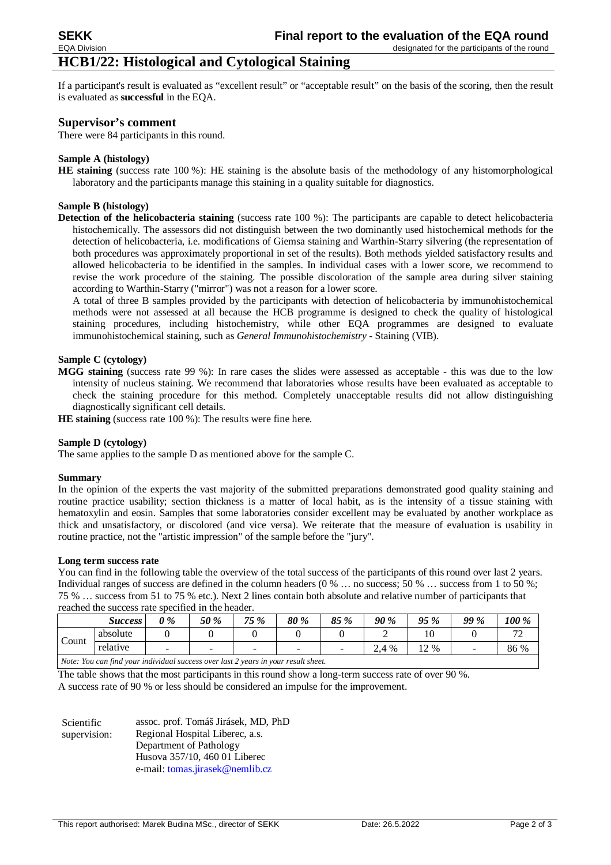#### designated for the participants of the round

# **HCB1/22: Histological and Cytological Staining**

If a participant's result is evaluated as "excellent result" or "acceptable result" on the basis of the scoring, then the result is evaluated as **successful** in the EQA.

#### **Supervisor's comment**

There were 84 participants in this round.

#### **Sample A (histology)**

**HE staining** (success rate 100 %): HE staining is the absolute basis of the methodology of any histomorphological laboratory and the participants manage this staining in a quality suitable for diagnostics.

#### **Sample B (histology)**

**Detection of the helicobacteria staining** (success rate 100 %): The participants are capable to detect helicobacteria histochemically. The assessors did not distinguish between the two dominantly used histochemical methods for the detection of helicobacteria, i.e. modifications of Giemsa staining and Warthin-Starry silvering (the representation of both procedures was approximately proportional in set of the results). Both methods yielded satisfactory results and allowed helicobacteria to be identified in the samples. In individual cases with a lower score, we recommend to revise the work procedure of the staining. The possible discoloration of the sample area during silver staining according to Warthin-Starry ("mirror") was not a reason for a lower score.

A total of three B samples provided by the participants with detection of helicobacteria by immunohistochemical methods were not assessed at all because the HCB programme is designed to check the quality of histological staining procedures, including histochemistry, while other EQA programmes are designed to evaluate immunohistochemical staining, such as *General Immunohistochemistry* - Staining (VIB).

#### **Sample C (cytology)**

**MGG staining** (success rate 99 %): In rare cases the slides were assessed as acceptable - this was due to the low intensity of nucleus staining. We recommend that laboratories whose results have been evaluated as acceptable to check the staining procedure for this method. Completely unacceptable results did not allow distinguishing diagnostically significant cell details.

**HE staining** (success rate 100 %): The results were fine here.

#### **Sample D (cytology)**

The same applies to the sample D as mentioned above for the sample C.

#### **Summary**

In the opinion of the experts the vast majority of the submitted preparations demonstrated good quality staining and routine practice usability; section thickness is a matter of local habit, as is the intensity of a tissue staining with hematoxylin and eosin. Samples that some laboratories consider excellent may be evaluated by another workplace as thick and unsatisfactory, or discolored (and vice versa). We reiterate that the measure of evaluation is usability in routine practice, not the "artistic impression" of the sample before the "jury".

#### **Long term success rate**

You can find in the following table the overview of the total success of the participants of this round over last 2 years. Individual ranges of success are defined in the column headers (0 % ... no success; 50 % ... success from 1 to 50 %; 75 % … success from 51 to 75 % etc.). Next 2 lines contain both absolute and relative number of participants that reached the success rate specified in the header.

|                                                                                    | <b>Success</b> | $0\%$ | 50 % | 75 %                     | 80 % | 85 % | <b>90 %</b> | 95 %   | <b>99 %</b> | 100 %             |
|------------------------------------------------------------------------------------|----------------|-------|------|--------------------------|------|------|-------------|--------|-------------|-------------------|
| Count                                                                              | absolute       |       |      |                          |      |      |             |        |             | $\mathbf{a}$<br>∼ |
|                                                                                    | relative       | -     |      | $\overline{\phantom{a}}$ | -    |      | 2.4 %       | $12\%$ | -           | 86 %              |
| Note: You can find your individual success over last 2 years in your result sheet. |                |       |      |                          |      |      |             |        |             |                   |

The table shows that the most participants in this round show a long-term success rate of over 90 %.

A success rate of 90 % or less should be considered an impulse for the improvement.

| Scientific   | assoc. prof. Tomáš Jirásek, MD, PhD |
|--------------|-------------------------------------|
| supervision: | Regional Hospital Liberec, a.s.     |
|              | Department of Pathology             |
|              | Husova 357/10, 460 01 Liberec       |
|              | e-mail: tomas.jirasek@nemlib.cz     |